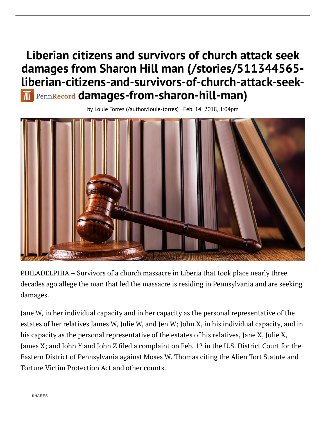# Liberian citizens and survivors of church attack seek damages from Sharon Hill man (/stories/511344565 [liberian-citizens-and-survivors-of-church-attack-seek](https://pennrecord.com/stories/511344565-liberian-citizens-and-survivors-of-church-attack-seek-damages-from-sharon-hill-man)[dam](https://pennrecord.com/)ages-from-sharon-hill-man)

by Louie Torres [\(/author/louie-torres\)](https://pennrecord.com/author/louie-torres) | Feb. 14, 2018, 1:04pm



PHILADELPHIA – Survivors of a church massacre in Liberia that took place nearly three decades ago allege the man that led the massacre is residing in Pennsylvania and are seeking damages.

Jane W, in her individual capacity and in her capacity as the personal representative of the estates of her relatives James W, Julie W, and Jen W; John X, in his individual capacity, and in his capacity as the personal representative of the estates of his relatives, Jane X, Julie X, James X; and John Y and John Z filed a complaint on Feb. 12 in the U.S. District Court for the Eastern District of Pennsylvania against Moses W. Thomas citing the Alien Tort Statute and Torture Victim Protection Act and other counts.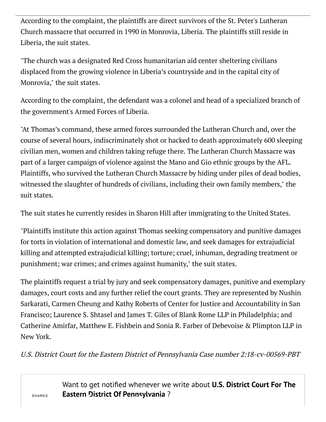According to the complaint, the plaintiffs are direct survivors of the St. Peter's Lutheran Church massacre that occurred in 1990 in Monrovia, Liberia. The plaintiffs still reside in Liberia, the suit states.

"The church was a designated Red Cross humanitarian aid center sheltering civilians displaced from the growing violence in Liberia's countryside and in the capital city of Monrovia," the suit states.

According to the complaint, the defendant was a colonel and head of a specialized branch of the government's Armed Forces of Liberia.

"At Thomas's command, these armed forces surrounded the Lutheran Church and, over the course of several hours, indiscriminately shot or hacked to death approximately 600 sleeping civilian men, women and children taking refuge there. The Lutheran Church Massacre was part of a larger campaign of violence against the Mano and Gio ethnic groups by the AFL. Plaintiffs, who survived the Lutheran Church Massacre by hiding under piles of dead bodies, witnessed the slaughter of hundreds of civilians, including their own family members," the suit states.

The suit states he currently resides in Sharon Hill after immigrating to the United States.

"Plaintiffs institute this action against Thomas seeking compensatory and punitive damages for torts in violation of international and domestic law, and seek damages for extrajudicial killing and attempted extrajudicial killing; torture; cruel, inhuman, degrading treatment or punishment; war crimes; and crimes against humanity," the suit states.

The plaintiffs request a trial by jury and seek compensatory damages, punitive and exemplary damages, court costs and any further relief the court grants. They are represented by Nushin Sarkarati, Carmen Cheung and Kathy Roberts of Center for Justice and Accountability in San Francisco; Laurence S. Shtasel and James T. Giles of Blank Rome LLP in Philadelphia; and Catherine Amirfar, Matthew E. Fishbein and Sonia R. Farber of Debevoise & Plimpton LLP in New York.

U.S. District Court for the Eastern District of Pennsylvania Case number 2:18-cv-00569-PBT

Want to get notified whenever we write about U.S. District Court For The Eastern District Of Pennsylvania ?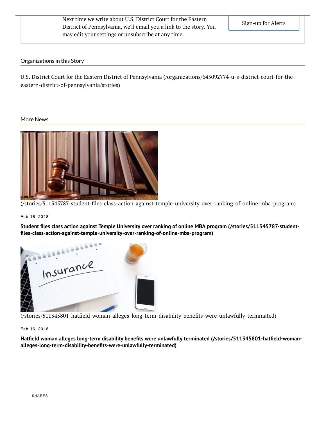Next time we write about U.S. District Court for the Eastern District of Pennsylvania, we'll email you a link to the story. You may edit your settings or unsubscribe at any time.

#### Organizations in this Story

U.S. District Court for the Eastern District of Pennsylvania [\(/organizations/645092774-u-s-district-court-for-the](https://pennrecord.com/organizations/645092774-u-s-district-court-for-the-eastern-district-of-pennsylvania/stories)eastern-district-of-pennsylvania/stories)

#### More News



(/stories/511345787-student-files-class-action-against-temple-university-over-ranking-of-online-mba-program)

#### Feb 16, 2018

Student åles class action against Temple University over ranking of online MBA program (/stories/511345787-student[åles-class-action-against-temple-university-over-ranking-of-online-mba-program\)](https://pennrecord.com/stories/511345787-student-files-class-action-against-temple-university-over-ranking-of-online-mba-program)



(/stories/511345801-hatfield-woman-alleges-long-term-disability-benefits-were-unlawfully-terminated)

Feb 16, 2018

Hatfield woman alleges long-term disability benefits were unlawfully terminated (/stories/511345801-hatfield-womanalleges-long-term-disability-benefits-were-unlawfully-terminated)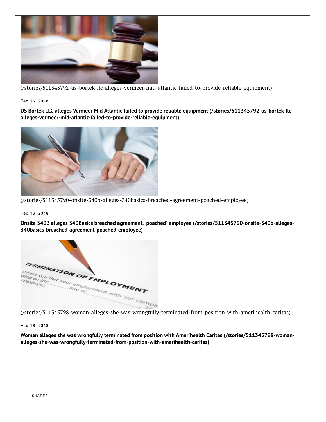

[\(/stories/511345792-us-bortek-llc-alleges-vermeer-mid-atlantic-failed-to-provide-reliable-equipment\)](https://pennrecord.com/stories/511345792-us-bortek-llc-alleges-vermeer-mid-atlantic-failed-to-provide-reliable-equipment)

Feb 16, 2018

US Bortek LLC alleges Vermeer Mid Atlantic failed to provide reliable equipment (/stories/511345792-us-bortek-llc[alleges-vermeer-mid-atlantic-failed-to-provide-reliable-equipment\)](https://pennrecord.com/stories/511345792-us-bortek-llc-alleges-vermeer-mid-atlantic-failed-to-provide-reliable-equipment)



[\(/stories/511345790-onsite-340b-alleges-340basics-breached-agreement-poached-employee\)](https://pennrecord.com/stories/511345790-onsite-340b-alleges-340basics-breached-agreement-poached-employee)

Feb 16, 2018

Onsite 340B alleges 340Basics breached agreement, 'poached' employee (/stories/511345790-onsite-340b-alleges-[340basics-breached-agreement-poached-employee\)](https://pennrecord.com/stories/511345790-onsite-340b-alleges-340basics-breached-agreement-poached-employee)



Feb 16, 2018

Woman alleges she was wrongfully terminated from position with Amerihealth Caritas (/stories/511345798-woman[alleges-she-was-wrongfully-terminated-from-position-with-amerihealth-caritas\)](https://pennrecord.com/stories/511345798-woman-alleges-she-was-wrongfully-terminated-from-position-with-amerihealth-caritas)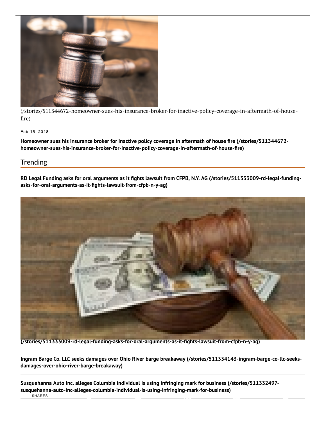

[\(/stories/511344672-homeowner-sues-his-insurance-broker-for-inactive-policy-coverage-in-aftermath-of-house](https://pennrecord.com/stories/511344672-homeowner-sues-his-insurance-broker-for-inactive-policy-coverage-in-aftermath-of-house-fire)fire)

#### Feb 15, 2018

Homeowner sues his insurance broker for inactive policy coverage in aftermath of house fire (/stories/511344672[homeowner-sues-his-insurance-broker-for-inactive-policy-coverage-in-aftermath-of-house-åre\)](https://pennrecord.com/stories/511344672-homeowner-sues-his-insurance-broker-for-inactive-policy-coverage-in-aftermath-of-house-fire)

### **Trending**

RD Legal Funding asks for oral arguments as it fights lawsuit from CFPB, N.Y. AG (/stories/511333009-rd-legal-fundingasks-for-oral-arguments-as-it-fights-lawsuit-from-cfpb-n-y-ag)



[\(/stories/511333009-rd-legal-funding-asks-for-oral-arguments-as-it-åghts-lawsuit-from-cfpb-n-y-ag\)](https://pennrecord.com/stories/511333009-rd-legal-funding-asks-for-oral-arguments-as-it-fights-lawsuit-from-cfpb-n-y-ag)

Ingram Barge Co. LLC seeks damages over Ohio River barge breakaway [\(/stories/511334143-ingram-barge-co-llc-seeks](https://pennrecord.com/stories/511334143-ingram-barge-co-llc-seeks-damages-over-ohio-river-barge-breakaway)damages-over-ohio-river-barge-breakaway)

Susquehanna Auto Inc. alleges Columbia individual is using infringing mark for business (/stories/511332497 [susquehanna-auto-inc-alleges-columbia-individual-is-using-infringing-mark-for-business\)](https://pennrecord.com/stories/511332497-susquehanna-auto-inc-alleges-columbia-individual-is-using-infringing-mark-for-business) SHARES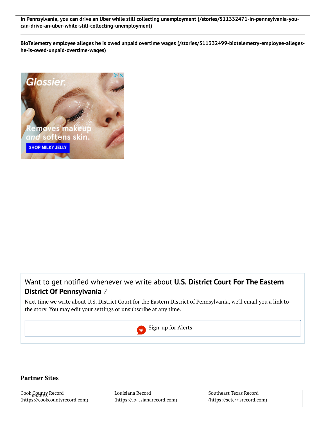In Pennsylvania, you can drive an Uber while still collecting unemployment (/stories/511332471-in-pennsylvania-you[can-drive-an-uber-while-still-collecting-unemployment\)](https://pennrecord.com/stories/511332471-in-pennsylvania-you-can-drive-an-uber-while-still-collecting-unemployment)

BioTelemetry employee alleges he is owed unpaid overtime wages [\(/stories/511332499-biotelemetry-employee-alleges](https://pennrecord.com/stories/511332499-biotelemetry-employee-alleges-he-is-owed-unpaid-overtime-wages)he-is-owed-unpaid-overtime-wages)



# Want to get notified whenever we write about U.S. District Court For The Eastern District Of Pennsylvania ?

Next time we write about U.S. District Court for the Eastern District of Pennsylvania, we'll email you a link to the story. You may edit your settings or unsubscribe at any time.



## Partner Sites

Cook County Record SHARES[\(https://cookcountyrecord.com\)](https://cookcountyrecord.com/) Louisiana Record [\(https://louisianarecord.com\)](https://louisianarecord.com/) Southeast Texas Record [\(https://setexasrecord.com\)](https://setexasrecord.com/)